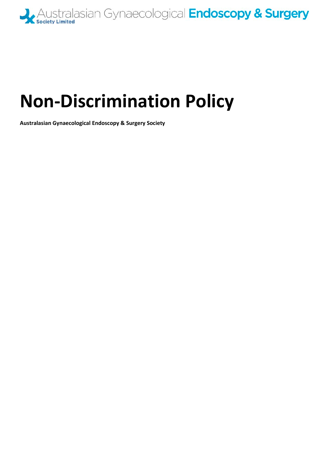

# **Non-Discrimination Policy**

**Australasian Gynaecological Endoscopy & Surgery Society**